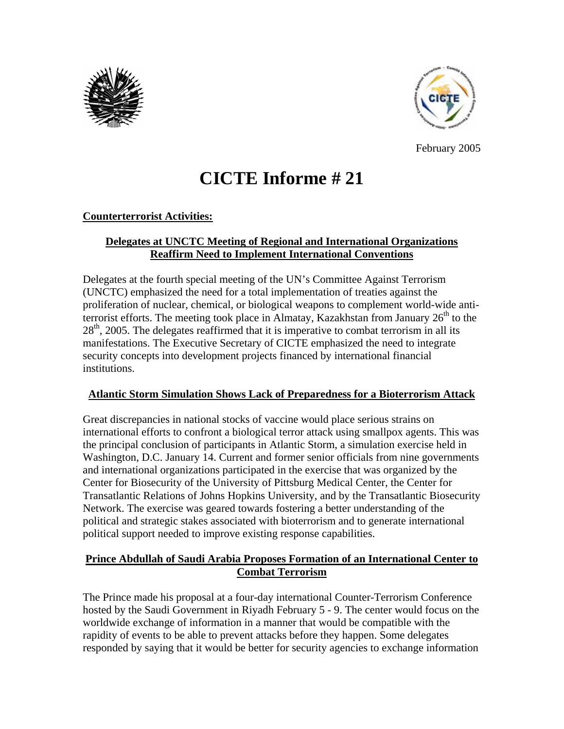



February 2005

# **CICTE Informe # 21**

#### **Counterterrorist Activities:**

## **Delegates at UNCTC Meeting of Regional and International Organizations Reaffirm Need to Implement International Conventions**

Delegates at the fourth special meeting of the UN's Committee Against Terrorism (UNCTC) emphasized the need for a total implementation of treaties against the proliferation of nuclear, chemical, or biological weapons to complement world-wide antiterrorist efforts. The meeting took place in Almatay, Kazakhstan from January  $26<sup>th</sup>$  to the  $28<sup>th</sup>$ , 2005. The delegates reaffirmed that it is imperative to combat terrorism in all its manifestations. The Executive Secretary of CICTE emphasized the need to integrate security concepts into development projects financed by international financial institutions.

#### **Atlantic Storm Simulation Shows Lack of Preparedness for a Bioterrorism Attack**

Great discrepancies in national stocks of vaccine would place serious strains on international efforts to confront a biological terror attack using smallpox agents. This was the principal conclusion of participants in Atlantic Storm, a simulation exercise held in Washington, D.C. January 14. Current and former senior officials from nine governments and international organizations participated in the exercise that was organized by the Center for Biosecurity of the University of Pittsburg Medical Center, the Center for Transatlantic Relations of Johns Hopkins University, and by the Transatlantic Biosecurity Network. The exercise was geared towards fostering a better understanding of the political and strategic stakes associated with bioterrorism and to generate international political support needed to improve existing response capabilities.

## **Prince Abdullah of Saudi Arabia Proposes Formation of an International Center to Combat Terrorism**

The Prince made his proposal at a four-day international Counter-Terrorism Conference hosted by the Saudi Government in Riyadh February 5 - 9. The center would focus on the worldwide exchange of information in a manner that would be compatible with the rapidity of events to be able to prevent attacks before they happen. Some delegates responded by saying that it would be better for security agencies to exchange information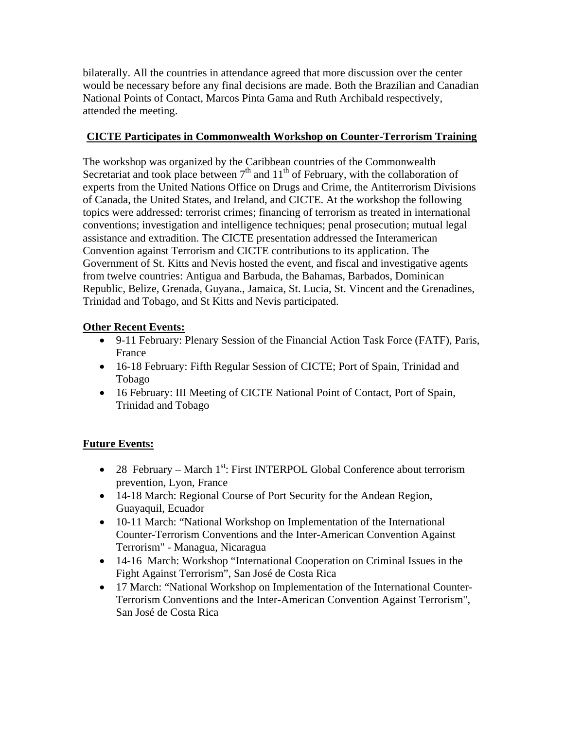bilaterally. All the countries in attendance agreed that more discussion over the center would be necessary before any final decisions are made. Both the Brazilian and Canadian National Points of Contact, Marcos Pinta Gama and Ruth Archibald respectively, attended the meeting.

# **CICTE Participates in Commonwealth Workshop on Counter-Terrorism Training**

The workshop was organized by the Caribbean countries of the Commonwealth Secretariat and took place between  $7<sup>th</sup>$  and  $11<sup>th</sup>$  of February, with the collaboration of experts from the United Nations Office on Drugs and Crime, the Antiterrorism Divisions of Canada, the United States, and Ireland, and CICTE. At the workshop the following topics were addressed: terrorist crimes; financing of terrorism as treated in international conventions; investigation and intelligence techniques; penal prosecution; mutual legal assistance and extradition. The CICTE presentation addressed the Interamerican Convention against Terrorism and CICTE contributions to its application. The Government of St. Kitts and Nevis hosted the event, and fiscal and investigative agents from twelve countries: Antigua and Barbuda, the Bahamas, Barbados, Dominican Republic, Belize, Grenada, Guyana., Jamaica, St. Lucia, St. Vincent and the Grenadines, Trinidad and Tobago, and St Kitts and Nevis participated.

# **Other Recent Events:**

- 9-11 February: Plenary Session of the Financial Action Task Force (FATF), Paris, France
- 16-18 February: Fifth Regular Session of CICTE; Port of Spain, Trinidad and Tobago
- 16 February: III Meeting of CICTE National Point of Contact, Port of Spain, Trinidad and Tobago

# **Future Events:**

- 28 February March  $1^{st}$ : First INTERPOL Global Conference about terrorism prevention, Lyon, France
- 14-18 March: Regional Course of Port Security for the Andean Region, Guayaquil, Ecuador
- 10-11 March: "National Workshop on Implementation of the International Counter-Terrorism Conventions and the Inter-American Convention Against Terrorism" - Managua, Nicaragua
- 14-16 March: Workshop "International Cooperation on Criminal Issues in the Fight Against Terrorism", San José de Costa Rica
- 17 March: "National Workshop on Implementation of the International Counter-Terrorism Conventions and the Inter-American Convention Against Terrorism", San José de Costa Rica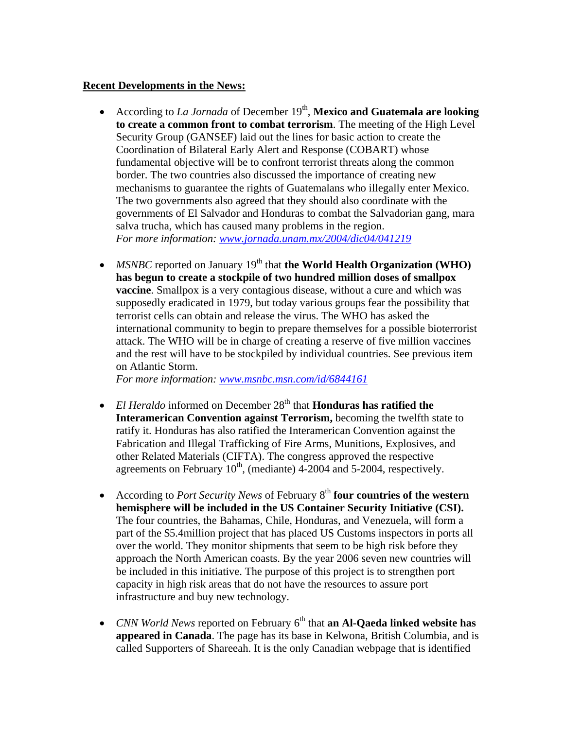#### **Recent Developments in the News:**

- According to *La Jornada* of December 19<sup>th</sup>, **Mexico and Guatemala are looking to create a common front to combat terrorism**. The meeting of the High Level Security Group (GANSEF) laid out the lines for basic action to create the Coordination of Bilateral Early Alert and Response (COBART) whose fundamental objective will be to confront terrorist threats along the common border. The two countries also discussed the importance of creating new mechanisms to guarantee the rights of Guatemalans who illegally enter Mexico. The two governments also agreed that they should also coordinate with the governments of El Salvador and Honduras to combat the Salvadorian gang, mara salva trucha, which has caused many problems in the region. *For more information: www.jornada.unam.mx/2004/dic04/041219*
- *MSNBC* reported on January 19<sup>th</sup> that **the World Health Organization** (WHO) **has begun to create a stockpile of two hundred million doses of smallpox vaccine**. Smallpox is a very contagious disease, without a cure and which was supposedly eradicated in 1979, but today various groups fear the possibility that terrorist cells can obtain and release the virus. The WHO has asked the international community to begin to prepare themselves for a possible bioterrorist attack. The WHO will be in charge of creating a reserve of five million vaccines and the rest will have to be stockpiled by individual countries. See previous item on Atlantic Storm.

*For more information: www.msnbc.msn.com/id/6844161* 

- *El Heraldo* informed on December 28<sup>th</sup> that **Honduras has ratified the Interamerican Convention against Terrorism,** becoming the twelfth state to ratify it. Honduras has also ratified the Interamerican Convention against the Fabrication and Illegal Trafficking of Fire Arms, Munitions, Explosives, and other Related Materials (CIFTA). The congress approved the respective agreements on February  $10^{th}$ , (mediante) 4-2004 and 5-2004, respectively.
- According to *Port Security News* of February 8<sup>th</sup> four countries of the western **hemisphere will be included in the US Container Security Initiative (CSI).** The four countries, the Bahamas, Chile, Honduras, and Venezuela, will form a part of the \$5.4million project that has placed US Customs inspectors in ports all over the world. They monitor shipments that seem to be high risk before they approach the North American coasts. By the year 2006 seven new countries will be included in this initiative. The purpose of this project is to strengthen port capacity in high risk areas that do not have the resources to assure port infrastructure and buy new technology.
- *CNN World News* reported on February 6<sup>th</sup> that **an Al-Qaeda linked website has appeared in Canada**. The page has its base in Kelwona, British Columbia, and is called Supporters of Shareeah. It is the only Canadian webpage that is identified